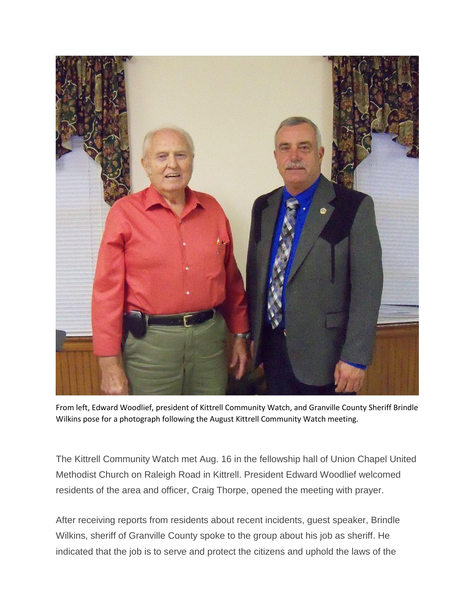

From left, Edward Woodlief, president of Kittrell Community Watch, and Granville County Sheriff Brindle Wilkins pose for a photograph following the August Kittrell Community Watch meeting.

The Kittrell Community Watch met Aug. 16 in the fellowship hall of Union Chapel United Methodist Church on Raleigh Road in Kittrell. President Edward Woodlief welcomed residents of the area and officer, Craig Thorpe, opened the meeting with prayer.

After receiving reports from residents about recent incidents, guest speaker, Brindle Wilkins, sheriff of Granville County spoke to the group about his job as sheriff. He indicated that the job is to serve and protect the citizens and uphold the laws of the